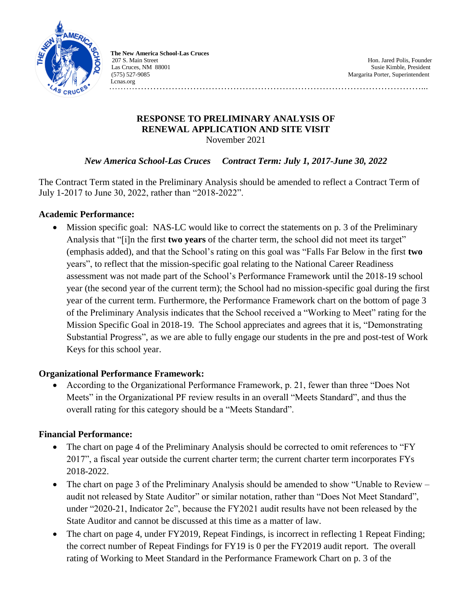

 **The New America School-Las Cruces** 207 S. Main Street **Hones and Street Hones and Street Hones and Street Hones And Street Hones And Street And Street And Street And Street And Street And Street And Street And Street And Street And Street And Street And Str** Las Cruces, NM 88001 Susie Kimble, President (575) S27-9085<br>
Margarita Porter, Superintendent Lcnas.org

Margarita Porter, Superintendent

…………………………………………………………………………………………...

### **RESPONSE TO PRELIMINARY ANALYSIS OF RENEWAL APPLICATION AND SITE VISIT** November 2021

# *New America School-Las Cruces Contract Term: July 1, 2017-June 30, 2022*

The Contract Term stated in the Preliminary Analysis should be amended to reflect a Contract Term of July 1-2017 to June 30, 2022, rather than "2018-2022".

# **Academic Performance:**

 Mission specific goal: NAS-LC would like to correct the statements on p. 3 of the Preliminary Analysis that "[i]n the first **two years** of the charter term, the school did not meet its target" (emphasis added), and that the School's rating on this goal was "Falls Far Below in the first **two** years", to reflect that the mission-specific goal relating to the National Career Readiness assessment was not made part of the School's Performance Framework until the 2018-19 school year (the second year of the current term); the School had no mission-specific goal during the first year of the current term. Furthermore, the Performance Framework chart on the bottom of page 3 of the Preliminary Analysis indicates that the School received a "Working to Meet" rating for the Mission Specific Goal in 2018-19. The School appreciates and agrees that it is, "Demonstrating Substantial Progress", as we are able to fully engage our students in the pre and post-test of Work Keys for this school year.

# **Organizational Performance Framework:**

 According to the Organizational Performance Framework, p. 21, fewer than three "Does Not Meets" in the Organizational PF review results in an overall "Meets Standard", and thus the overall rating for this category should be a "Meets Standard".

# **Financial Performance:**

- The chart on page 4 of the Preliminary Analysis should be corrected to omit references to "FY 2017", a fiscal year outside the current charter term; the current charter term incorporates FYs 2018-2022.
- The chart on page 3 of the Preliminary Analysis should be amended to show "Unable to Review audit not released by State Auditor" or similar notation, rather than "Does Not Meet Standard", under "2020-21, Indicator 2c", because the FY2021 audit results have not been released by the State Auditor and cannot be discussed at this time as a matter of law.
- The chart on page 4, under FY2019, Repeat Findings, is incorrect in reflecting 1 Repeat Finding; the correct number of Repeat Findings for FY19 is 0 per the FY2019 audit report. The overall rating of Working to Meet Standard in the Performance Framework Chart on p. 3 of the